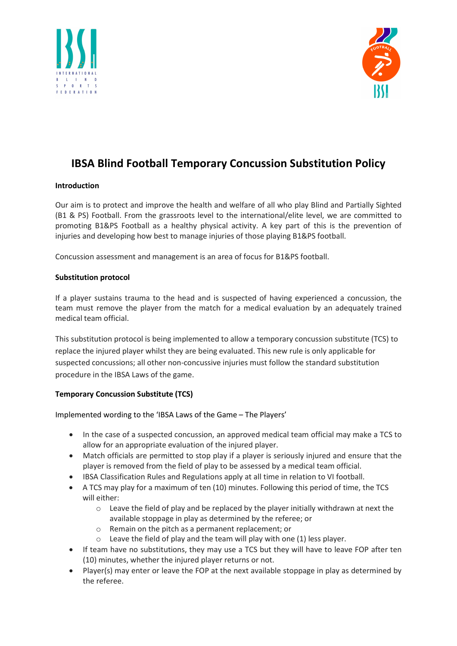



# IBSA Blind Football Temporary Concussion Substitution Policy

# Introduction

Our aim is to protect and improve the health and welfare of all who play Blind and Partially Sighted (B1 & PS) Football. From the grassroots level to the international/elite level, we are committed to promoting B1&PS Football as a healthy physical activity. A key part of this is the prevention of injuries and developing how best to manage injuries of those playing B1&PS football.

Concussion assessment and management is an area of focus for B1&PS football.

## Substitution protocol

If a player sustains trauma to the head and is suspected of having experienced a concussion, the team must remove the player from the match for a medical evaluation by an adequately trained medical team official.

This substitution protocol is being implemented to allow a temporary concussion substitute (TCS) to replace the injured player whilst they are being evaluated. This new rule is only applicable for suspected concussions; all other non-concussive injuries must follow the standard substitution procedure in the IBSA Laws of the game.

# Temporary Concussion Substitute (TCS)

Implemented wording to the 'IBSA Laws of the Game – The Players'

- In the case of a suspected concussion, an approved medical team official may make a TCS to allow for an appropriate evaluation of the injured player.
- Match officials are permitted to stop play if a player is seriously injured and ensure that the player is removed from the field of play to be assessed by a medical team official.
- IBSA Classification Rules and Regulations apply at all time in relation to VI football.
- A TCS may play for a maximum of ten (10) minutes. Following this period of time, the TCS will either:
	- $\circ$  Leave the field of play and be replaced by the player initially withdrawn at next the available stoppage in play as determined by the referee; or
	- o Remain on the pitch as a permanent replacement; or
	- $\circ$  Leave the field of play and the team will play with one (1) less player.
- If team have no substitutions, they may use a TCS but they will have to leave FOP after ten (10) minutes, whether the injured player returns or not.
- Player(s) may enter or leave the FOP at the next available stoppage in play as determined by the referee.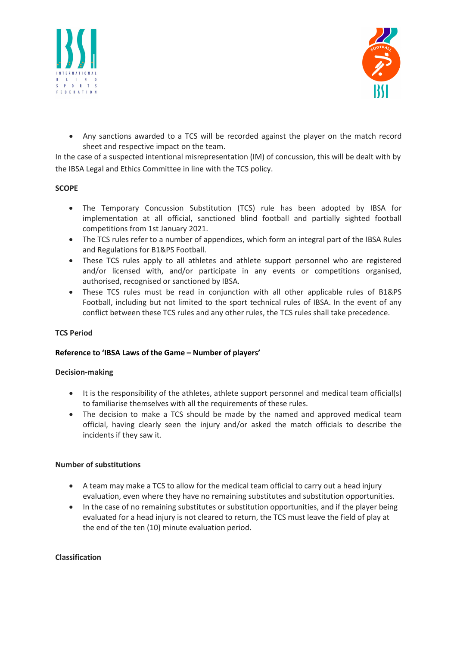



 Any sanctions awarded to a TCS will be recorded against the player on the match record sheet and respective impact on the team.

In the case of a suspected intentional misrepresentation (IM) of concussion, this will be dealt with by the IBSA Legal and Ethics Committee in line with the TCS policy.

## **SCOPE**

- The Temporary Concussion Substitution (TCS) rule has been adopted by IBSA for implementation at all official, sanctioned blind football and partially sighted football competitions from 1st January 2021.
- The TCS rules refer to a number of appendices, which form an integral part of the IBSA Rules and Regulations for B1&PS Football.
- These TCS rules apply to all athletes and athlete support personnel who are registered and/or licensed with, and/or participate in any events or competitions organised, authorised, recognised or sanctioned by IBSA.
- These TCS rules must be read in conjunction with all other applicable rules of B1&PS Football, including but not limited to the sport technical rules of IBSA. In the event of any conflict between these TCS rules and any other rules, the TCS rules shall take precedence.

# TCS Period

## Reference to 'IBSA Laws of the Game – Number of players'

## Decision-making

- It is the responsibility of the athletes, athlete support personnel and medical team official(s) to familiarise themselves with all the requirements of these rules.
- The decision to make a TCS should be made by the named and approved medical team official, having clearly seen the injury and/or asked the match officials to describe the incidents if they saw it.

## Number of substitutions

- A team may make a TCS to allow for the medical team official to carry out a head injury evaluation, even where they have no remaining substitutes and substitution opportunities.
- In the case of no remaining substitutes or substitution opportunities, and if the player being evaluated for a head injury is not cleared to return, the TCS must leave the field of play at the end of the ten (10) minute evaluation period.

## Classification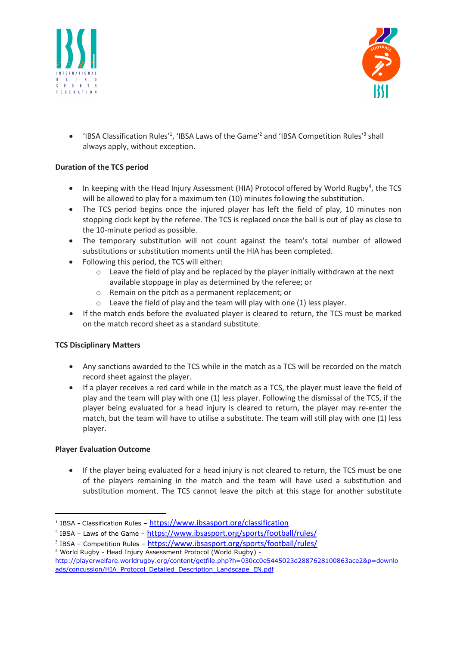



• 'IBSA Classification Rules<sup>'1</sup>, 'IBSA Laws of the Game<sup>'2</sup> and 'IBSA Competition Rules<sup>'3</sup> shall always apply, without exception.

# Duration of the TCS period

- In keeping with the Head Injury Assessment (HIA) Protocol offered by World Rugby<sup>4</sup>, the TCS will be allowed to play for a maximum ten (10) minutes following the substitution.
- The TCS period begins once the injured player has left the field of play, 10 minutes non stopping clock kept by the referee. The TCS is replaced once the ball is out of play as close to the 10-minute period as possible.
- The temporary substitution will not count against the team's total number of allowed substitutions or substitution moments until the HIA has been completed.
- Following this period, the TCS will either:
	- $\circ$  Leave the field of play and be replaced by the player initially withdrawn at the next available stoppage in play as determined by the referee; or
	- o Remain on the pitch as a permanent replacement; or
	- $\circ$  Leave the field of play and the team will play with one (1) less player.
- If the match ends before the evaluated player is cleared to return, the TCS must be marked on the match record sheet as a standard substitute.

# TCS Disciplinary Matters

- Any sanctions awarded to the TCS while in the match as a TCS will be recorded on the match record sheet against the player.
- If a player receives a red card while in the match as a TCS, the player must leave the field of play and the team will play with one (1) less player. Following the dismissal of the TCS, if the player being evaluated for a head injury is cleared to return, the player may re-enter the match, but the team will have to utilise a substitute. The team will still play with one (1) less player.

# Player Evaluation Outcome

• If the player being evaluated for a head injury is not cleared to return, the TCS must be one of the players remaining in the match and the team will have used a substitution and substitution moment. The TCS cannot leave the pitch at this stage for another substitute

<sup>&</sup>lt;sup>1</sup> IBSA - Classification Rules - https://www.ibsasport.org/classification

<sup>&</sup>lt;sup>2</sup> IBSA - Laws of the Game - https://www.ibsasport.org/sports/football/rules/

<sup>&</sup>lt;sup>3</sup> IBSA - Competition Rules - https://www.ibsasport.org/sports/football/rules/ 4 World Rugby - Head Injury Assessment Protocol (World Rugby) -

http://playerwelfare.worldrugby.org/content/getfile.php?h=030cc0e5445023d2887628100863ace2&p=downlo ads/concussion/HIA\_Protocol\_Detailed\_Description\_Landscape\_EN.pdf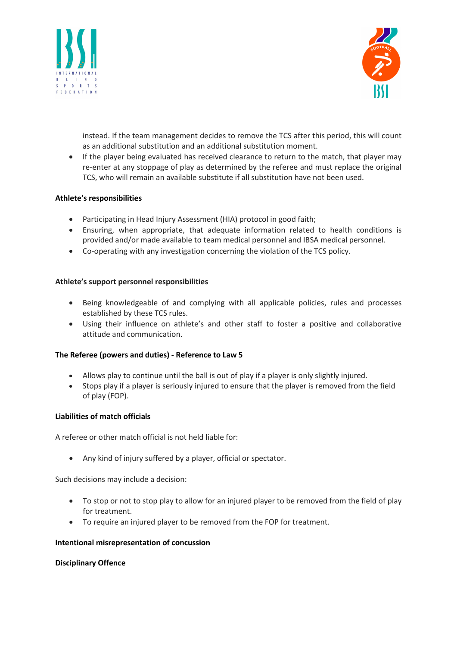



instead. If the team management decides to remove the TCS after this period, this will count as an additional substitution and an additional substitution moment.

 If the player being evaluated has received clearance to return to the match, that player may re-enter at any stoppage of play as determined by the referee and must replace the original TCS, who will remain an available substitute if all substitution have not been used.

## Athlete's responsibilities

- Participating in Head Injury Assessment (HIA) protocol in good faith;
- Ensuring, when appropriate, that adequate information related to health conditions is provided and/or made available to team medical personnel and IBSA medical personnel.
- Co-operating with any investigation concerning the violation of the TCS policy.

## Athlete's support personnel responsibilities

- Being knowledgeable of and complying with all applicable policies, rules and processes established by these TCS rules.
- Using their influence on athlete's and other staff to foster a positive and collaborative attitude and communication.

## The Referee (powers and duties) - Reference to Law 5

- Allows play to continue until the ball is out of play if a player is only slightly injured.
- Stops play if a player is seriously injured to ensure that the player is removed from the field of play (FOP).

## Liabilities of match officials

A referee or other match official is not held liable for:

Any kind of injury suffered by a player, official or spectator.

Such decisions may include a decision:

- To stop or not to stop play to allow for an injured player to be removed from the field of play for treatment.
- To require an injured player to be removed from the FOP for treatment.

## Intentional misrepresentation of concussion

## Disciplinary Offence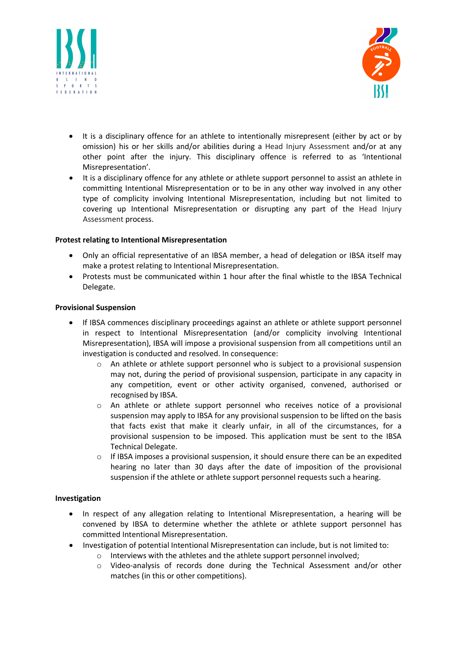



- It is a disciplinary offence for an athlete to intentionally misrepresent (either by act or by omission) his or her skills and/or abilities during a Head Injury Assessment and/or at any other point after the injury. This disciplinary offence is referred to as 'Intentional Misrepresentation'.
- It is a disciplinary offence for any athlete or athlete support personnel to assist an athlete in committing Intentional Misrepresentation or to be in any other way involved in any other type of complicity involving Intentional Misrepresentation, including but not limited to covering up Intentional Misrepresentation or disrupting any part of the Head Injury Assessment process.

## Protest relating to Intentional Misrepresentation

- Only an official representative of an IBSA member, a head of delegation or IBSA itself may make a protest relating to Intentional Misrepresentation.
- Protests must be communicated within 1 hour after the final whistle to the IBSA Technical Delegate.

## Provisional Suspension

- If IBSA commences disciplinary proceedings against an athlete or athlete support personnel in respect to Intentional Misrepresentation (and/or complicity involving Intentional Misrepresentation), IBSA will impose a provisional suspension from all competitions until an investigation is conducted and resolved. In consequence:
	- o An athlete or athlete support personnel who is subject to a provisional suspension may not, during the period of provisional suspension, participate in any capacity in any competition, event or other activity organised, convened, authorised or recognised by IBSA.
	- o An athlete or athlete support personnel who receives notice of a provisional suspension may apply to IBSA for any provisional suspension to be lifted on the basis that facts exist that make it clearly unfair, in all of the circumstances, for a provisional suspension to be imposed. This application must be sent to the IBSA Technical Delegate.
	- o If IBSA imposes a provisional suspension, it should ensure there can be an expedited hearing no later than 30 days after the date of imposition of the provisional suspension if the athlete or athlete support personnel requests such a hearing.

## Investigation

- In respect of any allegation relating to Intentional Misrepresentation, a hearing will be convened by IBSA to determine whether the athlete or athlete support personnel has committed Intentional Misrepresentation.
- Investigation of potential Intentional Misrepresentation can include, but is not limited to:
	- o Interviews with the athletes and the athlete support personnel involved;
	- o Video-analysis of records done during the Technical Assessment and/or other matches (in this or other competitions).